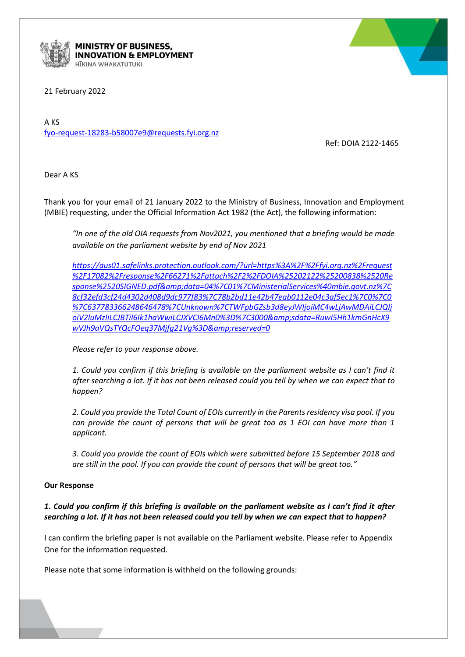

MINISTRY OF BUSINESS, **INNOVATION & EMPLOYMENT** HĪKINA WHAKATUTUKI

21 February 2022

A KS [fyo-request-18283-b58007e9@requests.fyi.org.nz](mailto:xxxxxxxxxxxxxxxxxxxxxxxxxxx@xxxxxxxx.xxx.xxx.xx)

Ref: DOIA 2122-1465

Dear A KS

Thank you for your email of 21 January 2022 to the Ministry of Business, Innovation and Employment (MBIE) requesting, under the Official Information Act 1982 (the Act), the following information:

*"In one of the old OIA requests from Nov2021, you mentioned that a briefing would be made available on the parliament website by end of Nov 2021*

*[https://aus01.safelinks.protection.outlook.com/?url=https%3A%2F%2Ffyi.org.nz%2Frequest](https://aus01.safelinks.protection.outlook.com/?url=https%3A%2F%2Ffyi.org.nz%2Frequest%2F17082%2Fresponse%2F66271%2Fattach%2F2%2FDOIA%25202122%25200838%2520Response%2520SIGNED.pdf&data=04%7C01%7CMinisterialServices%40mbie.govt.nz%7C8cf32efd3cf24d4302d408d9dc977f83%7C78b2bd11e42b47eab0112e04c3af5ec1%7C0%7C0%7C637783366248646478%7CUnknown%7CTWFpbGZsb3d8eyJWIjoiMC4wLjAwMDAiLCJQIjoiV2luMzIiLCJBTiI6Ik1haWwiLCJXVCI6Mn0%3D%7C3000&sdata=RuwI5Hh1kmGnHcX9wVJh9aVQsTYQcFOeq37Mjfg21Vg%3D&reserved=0) [%2F17082%2Fresponse%2F66271%2Fattach%2F2%2FDOIA%25202122%25200838%2520Re](https://aus01.safelinks.protection.outlook.com/?url=https%3A%2F%2Ffyi.org.nz%2Frequest%2F17082%2Fresponse%2F66271%2Fattach%2F2%2FDOIA%25202122%25200838%2520Response%2520SIGNED.pdf&data=04%7C01%7CMinisterialServices%40mbie.govt.nz%7C8cf32efd3cf24d4302d408d9dc977f83%7C78b2bd11e42b47eab0112e04c3af5ec1%7C0%7C0%7C637783366248646478%7CUnknown%7CTWFpbGZsb3d8eyJWIjoiMC4wLjAwMDAiLCJQIjoiV2luMzIiLCJBTiI6Ik1haWwiLCJXVCI6Mn0%3D%7C3000&sdata=RuwI5Hh1kmGnHcX9wVJh9aVQsTYQcFOeq37Mjfg21Vg%3D&reserved=0) [sponse%2520SIGNED.pdf&data=04%7C01%7CMinisterialServices%40mbie.govt.nz%7C](https://aus01.safelinks.protection.outlook.com/?url=https%3A%2F%2Ffyi.org.nz%2Frequest%2F17082%2Fresponse%2F66271%2Fattach%2F2%2FDOIA%25202122%25200838%2520Response%2520SIGNED.pdf&data=04%7C01%7CMinisterialServices%40mbie.govt.nz%7C8cf32efd3cf24d4302d408d9dc977f83%7C78b2bd11e42b47eab0112e04c3af5ec1%7C0%7C0%7C637783366248646478%7CUnknown%7CTWFpbGZsb3d8eyJWIjoiMC4wLjAwMDAiLCJQIjoiV2luMzIiLCJBTiI6Ik1haWwiLCJXVCI6Mn0%3D%7C3000&sdata=RuwI5Hh1kmGnHcX9wVJh9aVQsTYQcFOeq37Mjfg21Vg%3D&reserved=0) [8cf32efd3cf24d4302d408d9dc977f83%7C78b2bd11e42b47eab0112e04c3af5ec1%7C0%7C0](https://aus01.safelinks.protection.outlook.com/?url=https%3A%2F%2Ffyi.org.nz%2Frequest%2F17082%2Fresponse%2F66271%2Fattach%2F2%2FDOIA%25202122%25200838%2520Response%2520SIGNED.pdf&data=04%7C01%7CMinisterialServices%40mbie.govt.nz%7C8cf32efd3cf24d4302d408d9dc977f83%7C78b2bd11e42b47eab0112e04c3af5ec1%7C0%7C0%7C637783366248646478%7CUnknown%7CTWFpbGZsb3d8eyJWIjoiMC4wLjAwMDAiLCJQIjoiV2luMzIiLCJBTiI6Ik1haWwiLCJXVCI6Mn0%3D%7C3000&sdata=RuwI5Hh1kmGnHcX9wVJh9aVQsTYQcFOeq37Mjfg21Vg%3D&reserved=0) [%7C637783366248646478%7CUnknown%7CTWFpbGZsb3d8eyJWIjoiMC4wLjAwMDAiLCJQIj](https://aus01.safelinks.protection.outlook.com/?url=https%3A%2F%2Ffyi.org.nz%2Frequest%2F17082%2Fresponse%2F66271%2Fattach%2F2%2FDOIA%25202122%25200838%2520Response%2520SIGNED.pdf&data=04%7C01%7CMinisterialServices%40mbie.govt.nz%7C8cf32efd3cf24d4302d408d9dc977f83%7C78b2bd11e42b47eab0112e04c3af5ec1%7C0%7C0%7C637783366248646478%7CUnknown%7CTWFpbGZsb3d8eyJWIjoiMC4wLjAwMDAiLCJQIjoiV2luMzIiLCJBTiI6Ik1haWwiLCJXVCI6Mn0%3D%7C3000&sdata=RuwI5Hh1kmGnHcX9wVJh9aVQsTYQcFOeq37Mjfg21Vg%3D&reserved=0) [oiV2luMzIiLCJBTiI6Ik1haWwiLCJXVCI6Mn0%3D%7C3000&sdata=RuwI5Hh1kmGnHcX9](https://aus01.safelinks.protection.outlook.com/?url=https%3A%2F%2Ffyi.org.nz%2Frequest%2F17082%2Fresponse%2F66271%2Fattach%2F2%2FDOIA%25202122%25200838%2520Response%2520SIGNED.pdf&data=04%7C01%7CMinisterialServices%40mbie.govt.nz%7C8cf32efd3cf24d4302d408d9dc977f83%7C78b2bd11e42b47eab0112e04c3af5ec1%7C0%7C0%7C637783366248646478%7CUnknown%7CTWFpbGZsb3d8eyJWIjoiMC4wLjAwMDAiLCJQIjoiV2luMzIiLCJBTiI6Ik1haWwiLCJXVCI6Mn0%3D%7C3000&sdata=RuwI5Hh1kmGnHcX9wVJh9aVQsTYQcFOeq37Mjfg21Vg%3D&reserved=0)* wVJh9aVQsTYQcFOeq37Mjfq21Vq%3D&reserved=0

*Please refer to your response above.* 

*1. Could you confirm if this briefing is available on the parliament website as I can't find it after searching a lot. If it has not been released could you tell by when we can expect that to happen?*

*2. Could you provide the Total Count of EOIs currently in the Parents residency visa pool. If you can provide the count of persons that will be great too as 1 EOI can have more than 1 applicant.*

*3. Could you provide the count of EOIs which were submitted before 15 September 2018 and are still in the pool. If you can provide the count of persons that will be great too."*

## **Our Response**

## 1. Could you confirm if this briefing is available on the parliament website as I can't find it after *searching a lot. If it has not been released could you tell by when we can expect that to happen?*

I can confirm the briefing paper is not available on the Parliament website. Please refer to Appendix One for the information requested.

Please note that some information is withheld on the following grounds: